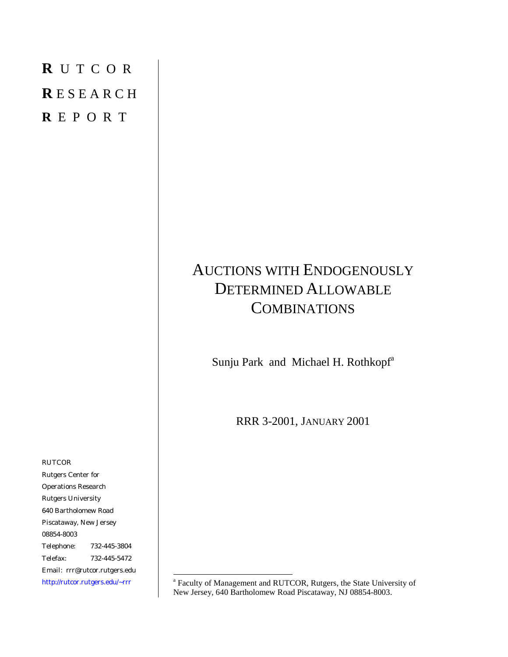# **R** U T C O R **R** E S E A R C H

**R** E P O R T

# AUCTIONS WITH ENDOGENOUSLY DETERMINED ALLOWABLE **COMBINATIONS**

Sunju Park and Michael H. Rothkopf<sup>a</sup>

RRR 3-2001, JANUARY 2001

RUTCOR

Rutgers Center for Operations Research Rutgers University 640 Bartholomew Road Piscataway, New Jersey 08854-8003 Telephone: 732-445-3804 Telefax: 732-445-5472 Email: rrr@rutcor.rutgers.edu http://rutcor.rutgers.edu/~rrr

-

<sup>&</sup>lt;sup>a</sup> Faculty of Management and RUTCOR, Rutgers, the State University of New Jersey, 640 Bartholomew Road Piscataway, NJ 08854-8003.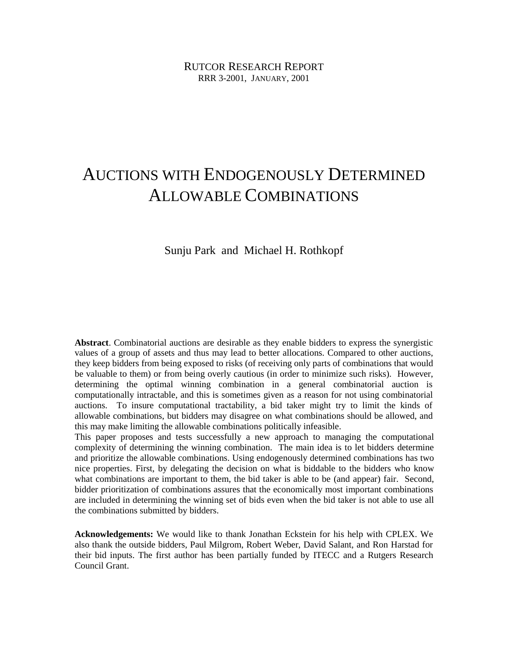# AUCTIONS WITH ENDOGENOUSLY DETERMINED ALLOWABLE COMBINATIONS

Sunju Park and Michael H. Rothkopf

**Abstract**. Combinatorial auctions are desirable as they enable bidders to express the synergistic values of a group of assets and thus may lead to better allocations. Compared to other auctions, they keep bidders from being exposed to risks (of receiving only parts of combinations that would be valuable to them) or from being overly cautious (in order to minimize such risks). However, determining the optimal winning combination in a general combinatorial auction is computationally intractable, and this is sometimes given as a reason for not using combinatorial auctions. To insure computational tractability, a bid taker might try to limit the kinds of allowable combinations, but bidders may disagree on what combinations should be allowed, and this may make limiting the allowable combinations politically infeasible.

This paper proposes and tests successfully a new approach to managing the computational complexity of determining the winning combination. The main idea is to let bidders determine and prioritize the allowable combinations. Using endogenously determined combinations has two nice properties. First, by delegating the decision on what is biddable to the bidders who know what combinations are important to them, the bid taker is able to be (and appear) fair. Second, bidder prioritization of combinations assures that the economically most important combinations are included in determining the winning set of bids even when the bid taker is not able to use all the combinations submitted by bidders.

**Acknowledgements:** We would like to thank Jonathan Eckstein for his help with CPLEX. We also thank the outside bidders, Paul Milgrom, Robert Weber, David Salant, and Ron Harstad for their bid inputs. The first author has been partially funded by ITECC and a Rutgers Research Council Grant.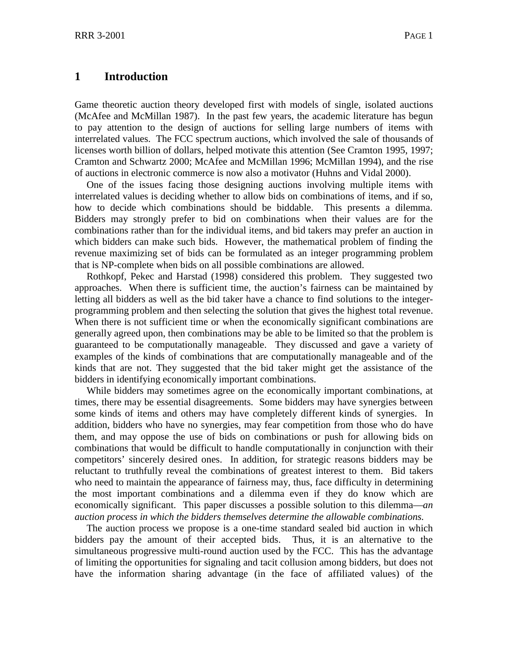### **1 Introduction**

Game theoretic auction theory developed first with models of single, isolated auctions (McAfee and McMillan 1987). In the past few years, the academic literature has begun to pay attention to the design of auctions for selling large numbers of items with interrelated values. The FCC spectrum auctions, which involved the sale of thousands of licenses worth billion of dollars, helped motivate this attention (See Cramton 1995, 1997; Cramton and Schwartz 2000; McAfee and McMillan 1996; McMillan 1994), and the rise of auctions in electronic commerce is now also a motivator (Huhns and Vidal 2000).

One of the issues facing those designing auctions involving multiple items with interrelated values is deciding whether to allow bids on combinations of items, and if so, how to decide which combinations should be biddable. This presents a dilemma. Bidders may strongly prefer to bid on combinations when their values are for the combinations rather than for the individual items, and bid takers may prefer an auction in which bidders can make such bids. However, the mathematical problem of finding the revenue maximizing set of bids can be formulated as an integer programming problem that is NP-complete when bids on all possible combinations are allowed.

Rothkopf, Pekec and Harstad (1998) considered this problem. They suggested two approaches. When there is sufficient time, the auction's fairness can be maintained by letting all bidders as well as the bid taker have a chance to find solutions to the integerprogramming problem and then selecting the solution that gives the highest total revenue. When there is not sufficient time or when the economically significant combinations are generally agreed upon, then combinations may be able to be limited so that the problem is guaranteed to be computationally manageable. They discussed and gave a variety of examples of the kinds of combinations that are computationally manageable and of the kinds that are not. They suggested that the bid taker might get the assistance of the bidders in identifying economically important combinations.

While bidders may sometimes agree on the economically important combinations, at times, there may be essential disagreements. Some bidders may have synergies between some kinds of items and others may have completely different kinds of synergies. In addition, bidders who have no synergies, may fear competition from those who do have them, and may oppose the use of bids on combinations or push for allowing bids on combinations that would be difficult to handle computationally in conjunction with their competitors' sincerely desired ones. In addition, for strategic reasons bidders may be reluctant to truthfully reveal the combinations of greatest interest to them. Bid takers who need to maintain the appearance of fairness may, thus, face difficulty in determining the most important combinations and a dilemma even if they do know which are economically significant. This paper discusses a possible solution to this dilemma—*an auction process in which the bidders themselves determine the allowable combinations*.

The auction process we propose is a one-time standard sealed bid auction in which bidders pay the amount of their accepted bids. Thus, it is an alternative to the simultaneous progressive multi-round auction used by the FCC. This has the advantage of limiting the opportunities for signaling and tacit collusion among bidders, but does not have the information sharing advantage (in the face of affiliated values) of the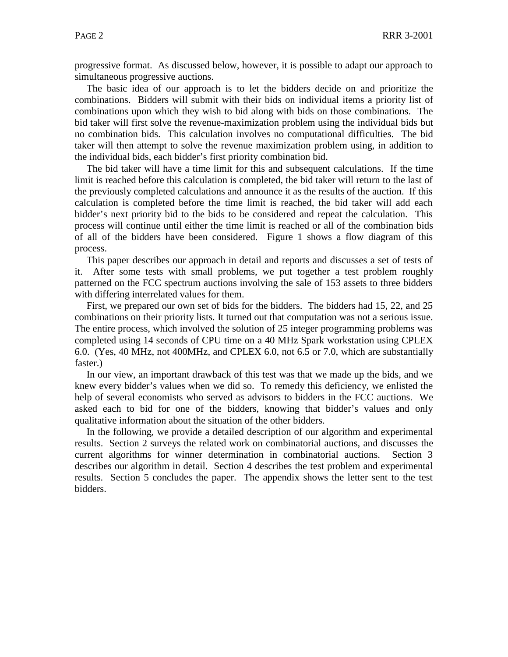progressive format. As discussed below, however, it is possible to adapt our approach to simultaneous progressive auctions.

The basic idea of our approach is to let the bidders decide on and prioritize the combinations. Bidders will submit with their bids on individual items a priority list of combinations upon which they wish to bid along with bids on those combinations. The bid taker will first solve the revenue-maximization problem using the individual bids but no combination bids. This calculation involves no computational difficulties. The bid taker will then attempt to solve the revenue maximization problem using, in addition to the individual bids, each bidder's first priority combination bid.

The bid taker will have a time limit for this and subsequent calculations. If the time limit is reached before this calculation is completed, the bid taker will return to the last of the previously completed calculations and announce it as the results of the auction. If this calculation is completed before the time limit is reached, the bid taker will add each bidder's next priority bid to the bids to be considered and repeat the calculation. This process will continue until either the time limit is reached or all of the combination bids of all of the bidders have been considered. Figure 1 shows a flow diagram of this process.

This paper describes our approach in detail and reports and discusses a set of tests of it. After some tests with small problems, we put together a test problem roughly patterned on the FCC spectrum auctions involving the sale of 153 assets to three bidders with differing interrelated values for them.

First, we prepared our own set of bids for the bidders. The bidders had 15, 22, and 25 combinations on their priority lists. It turned out that computation was not a serious issue. The entire process, which involved the solution of 25 integer programming problems was completed using 14 seconds of CPU time on a 40 MHz Spark workstation using CPLEX 6.0. (Yes, 40 MHz, not 400MHz, and CPLEX 6.0, not 6.5 or 7.0, which are substantially faster.)

In our view, an important drawback of this test was that we made up the bids, and we knew every bidder's values when we did so. To remedy this deficiency, we enlisted the help of several economists who served as advisors to bidders in the FCC auctions. We asked each to bid for one of the bidders, knowing that bidder's values and only qualitative information about the situation of the other bidders.

In the following, we provide a detailed description of our algorithm and experimental results. Section 2 surveys the related work on combinatorial auctions, and discusses the current algorithms for winner determination in combinatorial auctions. Section 3 describes our algorithm in detail. Section 4 describes the test problem and experimental results. Section 5 concludes the paper. The appendix shows the letter sent to the test bidders.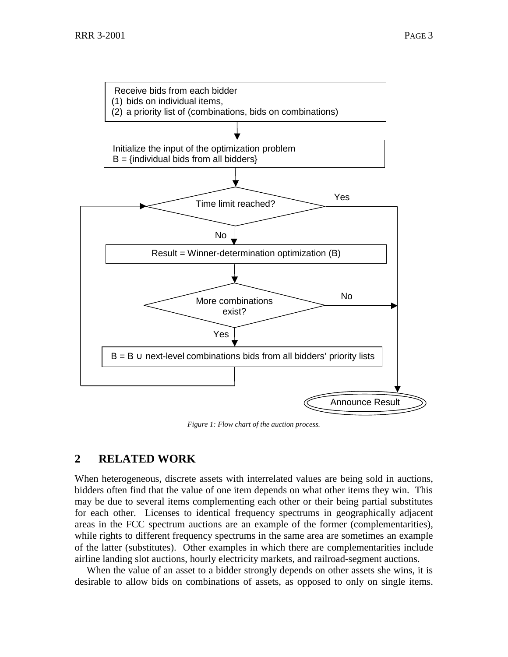

*Figure 1: Flow chart of the auction process.*

### **2 RELATED WORK**

When heterogeneous, discrete assets with interrelated values are being sold in auctions, bidders often find that the value of one item depends on what other items they win. This may be due to several items complementing each other or their being partial substitutes for each other. Licenses to identical frequency spectrums in geographically adjacent areas in the FCC spectrum auctions are an example of the former (complementarities), while rights to different frequency spectrums in the same area are sometimes an example of the latter (substitutes). Other examples in which there are complementarities include airline landing slot auctions, hourly electricity markets, and railroad-segment auctions.

When the value of an asset to a bidder strongly depends on other assets she wins, it is desirable to allow bids on combinations of assets, as opposed to only on single items.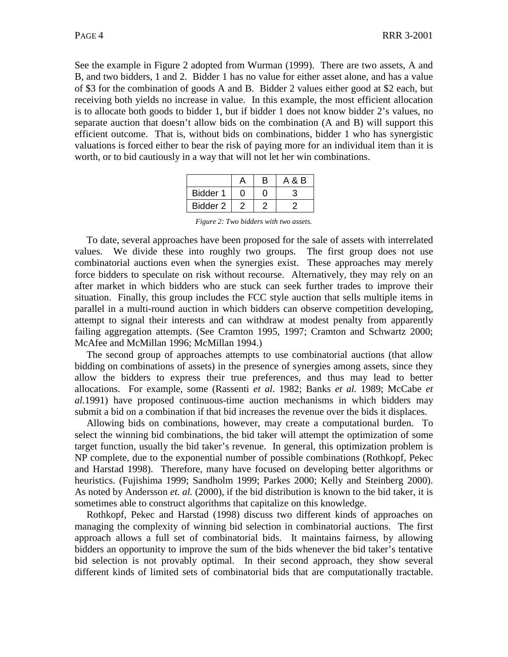See the example in Figure 2 adopted from Wurman (1999). There are two assets, A and B, and two bidders, 1 and 2. Bidder 1 has no value for either asset alone, and has a value of \$3 for the combination of goods A and B. Bidder 2 values either good at \$2 each, but receiving both yields no increase in value. In this example, the most efficient allocation is to allocate both goods to bidder 1, but if bidder 1 does not know bidder 2's values, no separate auction that doesn't allow bids on the combination (A and B) will support this efficient outcome. That is, without bids on combinations, bidder 1 who has synergistic valuations is forced either to bear the risk of paying more for an individual item than it is worth, or to bid cautiously in a way that will not let her win combinations.

|          | В | A & B |
|----------|---|-------|
| Bidder 1 |   |       |
| Bidder 2 |   |       |

*Figure 2: Two bidders with two assets.*

To date, several approaches have been proposed for the sale of assets with interrelated values. We divide these into roughly two groups. The first group does not use combinatorial auctions even when the synergies exist. These approaches may merely force bidders to speculate on risk without recourse. Alternatively, they may rely on an after market in which bidders who are stuck can seek further trades to improve their situation. Finally, this group includes the FCC style auction that sells multiple items in parallel in a multi-round auction in which bidders can observe competition developing, attempt to signal their interests and can withdraw at modest penalty from apparently failing aggregation attempts. (See Cramton 1995, 1997; Cramton and Schwartz 2000; McAfee and McMillan 1996; McMillan 1994.)

The second group of approaches attempts to use combinatorial auctions (that allow bidding on combinations of assets) in the presence of synergies among assets, since they allow the bidders to express their true preferences, and thus may lead to better allocations. For example, some (Rassenti *et al*. 1982; Banks *et al.* 1989; McCabe *et al.*1991) have proposed continuous-time auction mechanisms in which bidders may submit a bid on a combination if that bid increases the revenue over the bids it displaces.

Allowing bids on combinations, however, may create a computational burden. To select the winning bid combinations, the bid taker will attempt the optimization of some target function, usually the bid taker's revenue. In general, this optimization problem is NP complete, due to the exponential number of possible combinations (Rothkopf, Pekec and Harstad 1998). Therefore, many have focused on developing better algorithms or heuristics. (Fujishima 1999; Sandholm 1999; Parkes 2000; Kelly and Steinberg 2000). As noted by Andersson *et. al.* (2000), if the bid distribution is known to the bid taker, it is sometimes able to construct algorithms that capitalize on this knowledge.

Rothkopf, Pekec and Harstad (1998) discuss two different kinds of approaches on managing the complexity of winning bid selection in combinatorial auctions. The first approach allows a full set of combinatorial bids. It maintains fairness, by allowing bidders an opportunity to improve the sum of the bids whenever the bid taker's tentative bid selection is not provably optimal. In their second approach, they show several different kinds of limited sets of combinatorial bids that are computationally tractable.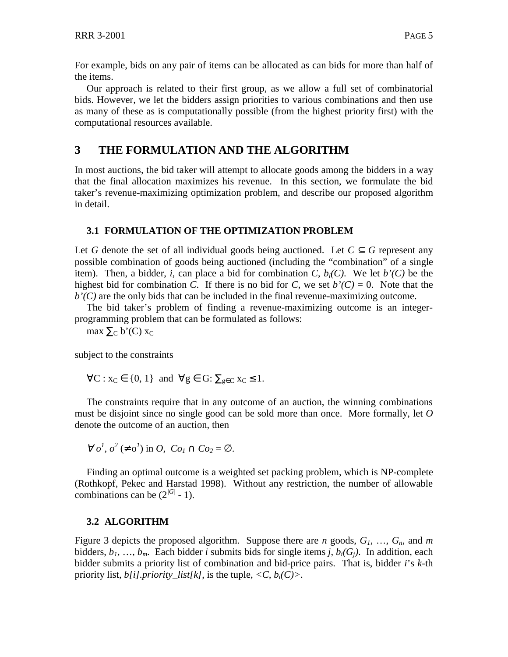For example, bids on any pair of items can be allocated as can bids for more than half of the items.

Our approach is related to their first group, as we allow a full set of combinatorial bids. However, we let the bidders assign priorities to various combinations and then use as many of these as is computationally possible (from the highest priority first) with the computational resources available.

# **3 THE FORMULATION AND THE ALGORITHM**

In most auctions, the bid taker will attempt to allocate goods among the bidders in a way that the final allocation maximizes his revenue. In this section, we formulate the bid taker's revenue-maximizing optimization problem, and describe our proposed algorithm in detail.

#### **3.1 FORMULATION OF THE OPTIMIZATION PROBLEM**

Let *G* denote the set of all individual goods being auctioned. Let  $C \subseteq G$  represent any possible combination of goods being auctioned (including the "combination" of a single item). Then, a bidder, *i*, can place a bid for combination *C*,  $b_i(C)$ . We let  $b'(C)$  be the highest bid for combination *C*. If there is no bid for *C*, we set  $b'(C) = 0$ . Note that the *b'(C)* are the only bids that can be included in the final revenue-maximizing outcome.

The bid taker's problem of finding a revenue-maximizing outcome is an integerprogramming problem that can be formulated as follows:

max  $\Sigma_c$  b'(C) x<sub>c</sub>

subject to the constraints

 $\forall C : x_C \in \{0, 1\}$  and  $\forall g \in G: \sum_{g \in C} x_C \leq 1$ .

The constraints require that in any outcome of an auction, the winning combinations must be disjoint since no single good can be sold more than once. More formally, let *O* denote the outcome of an auction, then

$$
\forall o^1, o^2 \ (\neq o^1) \text{ in } O, \ Co_1 \cap Co_2 = \varnothing.
$$

Finding an optimal outcome is a weighted set packing problem, which is NP-complete (Rothkopf, Pekec and Harstad 1998). Without any restriction, the number of allowable combinations can be  $(2^{|\mathcal{G}|} - 1)$ .

#### **3.2 ALGORITHM**

Figure 3 depicts the proposed algorithm. Suppose there are *n* goods,  $G_1$ , ...,  $G_n$ , and *m* bidders,  $b_1, \ldots, b_m$ . Each bidder *i* submits bids for single items *j*,  $b_i(G_i)$ . In addition, each bidder submits a priority list of combination and bid-price pairs. That is, bidder *i*'s *k*-th priority list,  $b[i]$ *.priority\_list[k]*, is the tuple,  $\langle C, b_i(C) \rangle$ .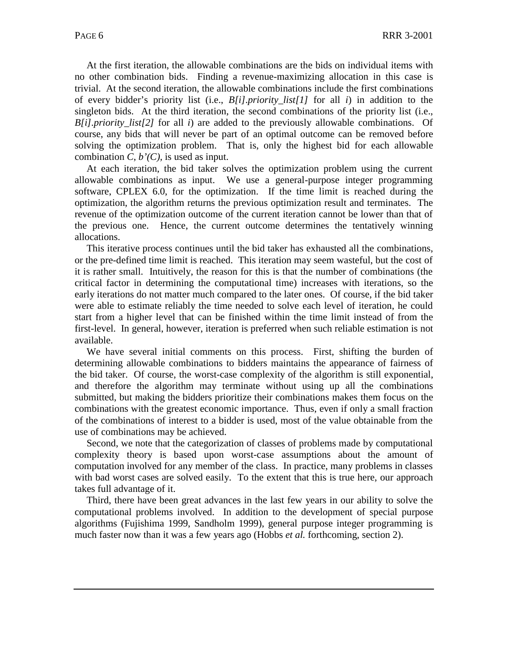At the first iteration, the allowable combinations are the bids on individual items with no other combination bids. Finding a revenue-maximizing allocation in this case is trivial. At the second iteration, the allowable combinations include the first combinations of every bidder's priority list (i.e., *B[i].priority\_list[1]* for all *i*) in addition to the singleton bids. At the third iteration, the second combinations of the priority list (i.e., *B[i].priority\_list[2]* for all *i*) are added to the previously allowable combinations. Of course, any bids that will never be part of an optimal outcome can be removed before solving the optimization problem. That is, only the highest bid for each allowable combination  $C$ ,  $b'(C)$ , is used as input.

At each iteration, the bid taker solves the optimization problem using the current allowable combinations as input. We use a general-purpose integer programming software, CPLEX 6.0, for the optimization. If the time limit is reached during the optimization, the algorithm returns the previous optimization result and terminates. The revenue of the optimization outcome of the current iteration cannot be lower than that of the previous one. Hence, the current outcome determines the tentatively winning allocations.

This iterative process continues until the bid taker has exhausted all the combinations, or the pre-defined time limit is reached. This iteration may seem wasteful, but the cost of it is rather small. Intuitively, the reason for this is that the number of combinations (the critical factor in determining the computational time) increases with iterations, so the early iterations do not matter much compared to the later ones. Of course, if the bid taker were able to estimate reliably the time needed to solve each level of iteration, he could start from a higher level that can be finished within the time limit instead of from the first-level. In general, however, iteration is preferred when such reliable estimation is not available.

We have several initial comments on this process. First, shifting the burden of determining allowable combinations to bidders maintains the appearance of fairness of the bid taker. Of course, the worst-case complexity of the algorithm is still exponential, and therefore the algorithm may terminate without using up all the combinations submitted, but making the bidders prioritize their combinations makes them focus on the combinations with the greatest economic importance. Thus, even if only a small fraction of the combinations of interest to a bidder is used, most of the value obtainable from the use of combinations may be achieved.

Second, we note that the categorization of classes of problems made by computational complexity theory is based upon worst-case assumptions about the amount of computation involved for any member of the class. In practice, many problems in classes with bad worst cases are solved easily. To the extent that this is true here, our approach takes full advantage of it.

Third, there have been great advances in the last few years in our ability to solve the computational problems involved. In addition to the development of special purpose algorithms (Fujishima 1999, Sandholm 1999), general purpose integer programming is much faster now than it was a few years ago (Hobbs *et al.* forthcoming, section 2).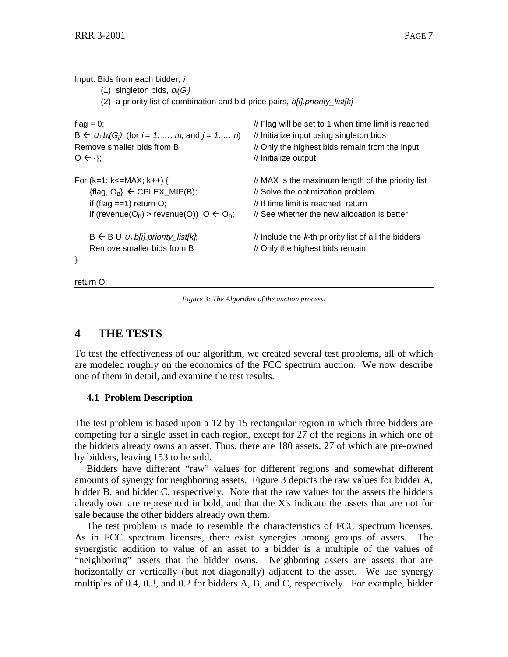```
Input: Bids from each bidder, i
       (1) singleton bids, b_i(G_j)(2) a priority list of combination and bid-price pairs, b[i].priority_list[k]
f \sim 1 flag will be set to 1 when time limit is reached
B \leftarrow \cup_i b_i(G_j)\frac{1}{10} Initialize input using singleton bids
Remove smaller bids from B // Only the highest bids remain from the input
O \leftarrow \{\};For (k=1; k<=MAX; k++) { \angle // MAX is the maximum length of the priority list
   {f}[flag, O<sub>B</sub>} \leftarrow CPLEX_MIP(B); // Solve the optimization problem
    if (flag ==1) return O; \frac{1}{10} if time limit is reached, return
    if (revenue(O<sub>B</sub>) > revenue(O)) 0 \leftarrow O_B; // See whether the new allocation is better
    B \leftarrow B \cup \cup_i b[i]. priority_list[k];
                                              \frac{1}{\sqrt{h}} Include the k-th priority list of all the bidders
    Remove smaller bids from B // Only the highest bids remain
}
```
return O;

*Figure 3: The Algorithm of the auction process.*

# **4 THE TESTS**

To test the effectiveness of our algorithm, we created several test problems, all of which are modeled roughly on the economics of the FCC spectrum auction. We now describe one of them in detail, and examine the test results.

#### **4.1 Problem Description**

The test problem is based upon a 12 by 15 rectangular region in which three bidders are competing for a single asset in each region, except for 27 of the regions in which one of the bidders already owns an asset. Thus, there are 180 assets, 27 of which are pre-owned by bidders, leaving 153 to be sold.

Bidders have different "raw" values for different regions and somewhat different amounts of synergy for neighboring assets. Figure 3 depicts the raw values for bidder A, bidder B, and bidder C, respectively. Note that the raw values for the assets the bidders already own are represented in bold, and that the X's indicate the assets that are not for sale because the other bidders already own them.

The test problem is made to resemble the characteristics of FCC spectrum licenses. As in FCC spectrum licenses, there exist synergies among groups of assets. The synergistic addition to value of an asset to a bidder is a multiple of the values of "neighboring" assets that the bidder owns. Neighboring assets are assets that are horizontally or vertically (but not diagonally) adjacent to the asset. We use synergy multiples of 0.4, 0.3, and 0.2 for bidders A, B, and C, respectively. For example, bidder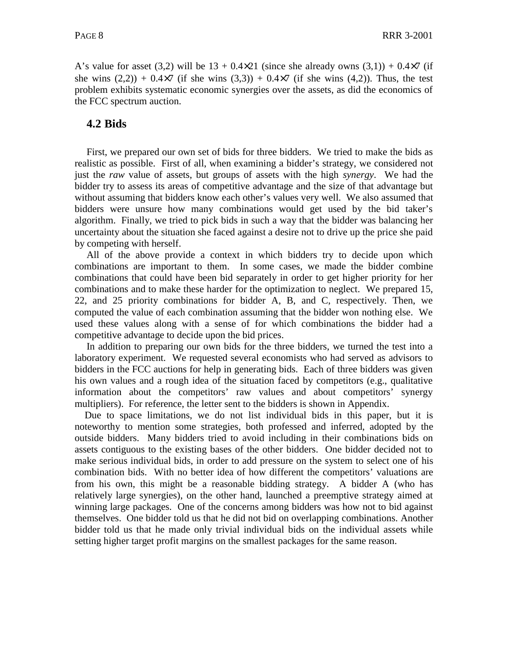A's value for asset (3,2) will be  $13 + 0.4 \times 21$  (since she already owns (3,1)) + 0.4 $\times$ 7 (if she wins  $(2,2)$ ) + 0.4×7 (if she wins  $(3,3)$ ) + 0.4×7 (if she wins  $(4,2)$ ). Thus, the test problem exhibits systematic economic synergies over the assets, as did the economics of the FCC spectrum auction.

#### **4.2 Bids**

First, we prepared our own set of bids for three bidders. We tried to make the bids as realistic as possible. First of all, when examining a bidder's strategy, we considered not just the *raw* value of assets, but groups of assets with the high *synergy*. We had the bidder try to assess its areas of competitive advantage and the size of that advantage but without assuming that bidders know each other's values very well. We also assumed that bidders were unsure how many combinations would get used by the bid taker's algorithm. Finally, we tried to pick bids in such a way that the bidder was balancing her uncertainty about the situation she faced against a desire not to drive up the price she paid by competing with herself.

All of the above provide a context in which bidders try to decide upon which combinations are important to them. In some cases, we made the bidder combine combinations that could have been bid separately in order to get higher priority for her combinations and to make these harder for the optimization to neglect. We prepared 15, 22, and 25 priority combinations for bidder A, B, and C, respectively. Then, we computed the value of each combination assuming that the bidder won nothing else. We used these values along with a sense of for which combinations the bidder had a competitive advantage to decide upon the bid prices.

In addition to preparing our own bids for the three bidders, we turned the test into a laboratory experiment. We requested several economists who had served as advisors to bidders in the FCC auctions for help in generating bids. Each of three bidders was given his own values and a rough idea of the situation faced by competitors (e.g., qualitative information about the competitors' raw values and about competitors' synergy multipliers). For reference, the letter sent to the bidders is shown in Appendix.

 Due to space limitations, we do not list individual bids in this paper, but it is noteworthy to mention some strategies, both professed and inferred, adopted by the outside bidders. Many bidders tried to avoid including in their combinations bids on assets contiguous to the existing bases of the other bidders. One bidder decided not to make serious individual bids, in order to add pressure on the system to select one of his combination bids. With no better idea of how different the competitors' valuations are from his own, this might be a reasonable bidding strategy. A bidder A (who has relatively large synergies), on the other hand, launched a preemptive strategy aimed at winning large packages. One of the concerns among bidders was how not to bid against themselves. One bidder told us that he did not bid on overlapping combinations. Another bidder told us that he made only trivial individual bids on the individual assets while setting higher target profit margins on the smallest packages for the same reason.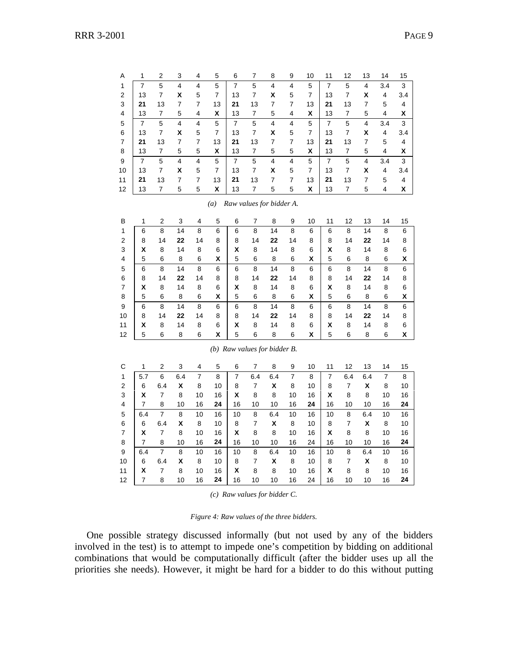| A  |    | 2  | 3 | 4 | 5  | 6  |    | 8 | 9 | 10 | 11 | 12 | 13 | 14  | 15  |
|----|----|----|---|---|----|----|----|---|---|----|----|----|----|-----|-----|
|    |    | 5  | 4 | 4 | 5  |    | 5  | 4 | 4 | 5  | 7  | 5  | 4  | 3.4 | 3   |
| 2  | 13 | 7  | x | 5 | 7  | 13 | 7  | X | 5 | 7  | 13 | 7  | X  | 4   | 3.4 |
| 3  | 21 | 13 | 7 | 7 | 13 | 21 | 13 | 7 | 7 | 13 | 21 | 13 | 7  | 5   | 4   |
| 4  | 13 | 7  | 5 | 4 | x  | 13 | 7  | 5 | 4 | X  | 13 | 7  | 5  | 4   | X   |
| 5  | 7  | 5  | 4 | 4 | 5  | 7  | 5  | 4 | 4 | 5  | 7  | 5  | 4  | 3.4 | 3   |
| 6  | 13 | 7  | x | 5 | 7  | 13 | 7  | x | 5 | 7  | 13 | 7  | x  | 4   | 3.4 |
| 7  | 21 | 13 | 7 | 7 | 13 | 21 | 13 | 7 | 7 | 13 | 21 | 13 | 7  | 5   | 4   |
| 8  | 13 | 7  | 5 | 5 | x  | 13 | 7  | 5 | 5 | X  | 13 | 7  | 5  | 4   | χ   |
| 9  | 7  | 5  | 4 | 4 | 5  | 7  | 5  | 4 | 4 | 5  | 7  | 5  | 4  | 3.4 | 3   |
| 10 | 13 | 7  | x | 5 | 7  | 13 | 7  | X | 5 | 7  | 13 | 7  | x  | 4   | 3.4 |
| 11 | 21 | 13 | 7 | 7 | 13 | 21 | 13 | 7 | 7 | 13 | 21 | 13 | 7  | 5   | 4   |
| 12 | 13 |    | 5 | 5 | x  | 13 | 7  | 5 | 5 | x  | 13 | 7  | 5  | 4   |     |

| в  |   | 2  | 3  | 4  | 5 | 6 | 7  | 8  | 9  | 10 | 11 | 12 | 13 | 14 | 15 |
|----|---|----|----|----|---|---|----|----|----|----|----|----|----|----|----|
| 1  | 6 | 8  | 14 | 8  | 6 | 6 | 8  | 14 | 8  | 6  | 6  | 8  | 14 | 8  | 6  |
| 2  | 8 | 14 | 22 | 14 | 8 | 8 | 14 | 22 | 14 | 8  | 8  | 14 | 22 | 14 | 8  |
| 3  | x | 8  | 14 | 8  | 6 | X | 8  | 14 | 8  | 6  | X  | 8  | 14 | 8  | 6  |
| 4  | 5 | 6  | 8  | 6  | X | 5 | 6  | 8  | 6  | X  | 5  | 6  | 8  | 6  | х  |
| 5  | 6 | 8  | 14 | 8  | 6 | 6 | 8  | 14 | 8  | 6  | 6  | 8  | 14 | 8  | 6  |
| 6  | 8 | 14 | 22 | 14 | 8 | 8 | 14 | 22 | 14 | 8  | 8  | 14 | 22 | 14 | 8  |
| 7  | x | 8  | 14 | 8  | 6 | X | 8  | 14 | 8  | 6  | X  | 8  | 14 | 8  | 6  |
| 8  | 5 | 6  | 8  | 6  | X | 5 | 6  | 8  | 6  | X  | 5  | 6  | 8  | 6  | x  |
| 9  | 6 | 8  | 14 | 8  | 6 | 6 | 8  | 14 | 8  | 6  | 6  | 8  | 14 | 8  | 6  |
| 10 | 8 | 14 | 22 | 14 | 8 | 8 | 14 | 22 | 14 | 8  | 8  | 14 | 22 | 14 | 8  |
| 11 | x | 8  | 14 | 8  | 6 | x | 8  | 14 | 8  | 6  | X  | 8  | 14 | 8  | 6  |
| 12 | 5 | 6  | 8  | 6  | X | 5 | 6  | 8  | 6  | X  | 5  | 6  | 8  | 6  |    |

*(a) Raw values for bidder A.*

#### *(b) Raw values for bidder B.*

| C              |                | 2   | 3   | 4  | 5  | 6  |     | 8   | 9  | 10 | 11 | 12  | 13  | 14 | 15 |
|----------------|----------------|-----|-----|----|----|----|-----|-----|----|----|----|-----|-----|----|----|
| 1              | 5.7            | 6   | 6.4 | 7  | 8  | 7  | 6.4 | 6.4 | 7  | 8  | 7  | 6.4 | 6.4 | 7  | 8  |
| 2              | 6              | 6.4 | x   | 8  | 10 | 8  | 7   | x   | 8  | 10 | 8  | 7   | x   | 8  | 10 |
| 3              | X              | 7   | 8   | 10 | 16 | X  | 8   | 8   | 10 | 16 | x  | 8   | 8   | 10 | 16 |
| 4              | 7              | 8   | 10  | 16 | 24 | 16 | 10  | 10  | 16 | 24 | 16 | 10  | 10  | 16 | 24 |
| 5              | 6.4            | 7   | 8   | 10 | 16 | 10 | 8   | 6.4 | 10 | 16 | 10 | 8   | 6.4 | 10 | 16 |
| 6              | 6              | 6.4 | x   | 8  | 10 | 8  | 7   | x   | 8  | 10 | 8  | 7   | x   | 8  | 10 |
| $\overline{7}$ | X              | 7   | 8   | 10 | 16 | X  | 8   | 8   | 10 | 16 | x  | 8   | 8   | 10 | 16 |
| 8              | $\overline{7}$ | 8   | 10  | 16 | 24 | 16 | 10  | 10  | 16 | 24 | 16 | 10  | 10  | 16 | 24 |
| 9              | 6.4            | 7   | 8   | 10 | 16 | 10 | 8   | 6.4 | 10 | 16 | 10 | 8   | 6.4 | 10 | 16 |
| 10             | 6              | 6.4 | x   | 8  | 10 | 8  | 7   | X   | 8  | 10 | 8  | 7   | X   | 8  | 10 |
| 11             | X              | 7   | 8   | 10 | 16 | X  | 8   | 8   | 10 | 16 | x  | 8   | 8   | 10 | 16 |
| 12             | 7              | 8   | 10  | 16 | 24 | 16 | 10  | 10  | 16 | 24 | 16 | 10  | 10  | 16 | 24 |
|                |                |     |     |    |    |    |     |     |    |    |    |     |     |    |    |

*(c) Raw values for bidder C.*

| Figure 4: Raw values of the three bidders. |  |  |  |  |
|--------------------------------------------|--|--|--|--|
|--------------------------------------------|--|--|--|--|

One possible strategy discussed informally (but not used by any of the bidders involved in the test) is to attempt to impede one's competition by bidding on additional combinations that would be computationally difficult (after the bidder uses up all the priorities she needs). However, it might be hard for a bidder to do this without putting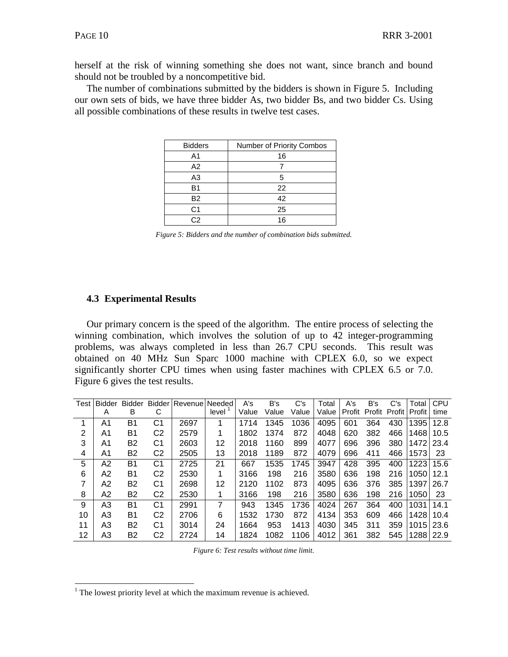herself at the risk of winning something she does not want, since branch and bound should not be troubled by a noncompetitive bid.

The number of combinations submitted by the bidders is shown in Figure 5. Including our own sets of bids, we have three bidder As, two bidder Bs, and two bidder Cs. Using all possible combinations of these results in twelve test cases.

| <b>Bidders</b> | Number of Priority Combos |
|----------------|---------------------------|
| A1             | 16                        |
| A2             |                           |
| A3             | 5                         |
| Β1             | 22                        |
| <b>B2</b>      | 42                        |
| C <sub>1</sub> | 25                        |
| C2             | 16                        |

*Figure 5: Bidders and the number of combination bids submitted.*

#### **4.3 Experimental Results**

Our primary concern is the speed of the algorithm. The entire process of selecting the winning combination, which involves the solution of up to 42 integer-programming problems, was always completed in less than 26.7 CPU seconds. This result was obtained on 40 MHz Sun Sparc 1000 machine with CPLEX 6.0, so we expect significantly shorter CPU times when using faster machines with CPLEX 6.5 or 7.0. Figure 6 gives the test results.

| Test | Bidder | <b>Bidder</b>  |                | <b>Bidder Revenue</b> | Needed | A's   | B's   | C's   | Total | A's    | B's           | C's | Total  | CPU  |
|------|--------|----------------|----------------|-----------------------|--------|-------|-------|-------|-------|--------|---------------|-----|--------|------|
|      | A      | B              | C              |                       | level  | Value | Value | Value | Value | Profit | Profit Profit |     | Profit | time |
|      | A1     | B1             | C1             | 2697                  | 1      | 1714  | 1345  | 1036  | 4095  | 601    | 364           | 430 | 1395   | 12.8 |
| 2    | A1     | B1             | C2             | 2579                  |        | 1802  | 1374  | 872   | 4048  | 620    | 382           | 466 | 1468   | 10.5 |
| 3    | A1     | B2             | C1             | 2603                  | 12     | 2018  | 1160  | 899   | 4077  | 696    | 396           | 380 | 1472   | 23.4 |
| 4    | A1     | B2             | C2             | 2505                  | 13     | 2018  | 1189  | 872   | 4079  | 696    | 411           | 466 | 1573   | 23   |
| 5    | A2     | B1             | C1             | 2725                  | 21     | 667   | 1535  | 1745  | 3947  | 428    | 395           | 400 | 1223   | 15.6 |
| 6    | A2     | B1             | C <sub>2</sub> | 2530                  | 1      | 3166  | 198   | 216   | 3580  | 636    | 198           | 216 | 1050   | 12.1 |
| 7    | A2     | B2             | C1             | 2698                  | 12     | 2120  | 1102  | 873   | 4095  | 636    | 376           | 385 | 1397   | 26.7 |
| 8    | A2     | B <sub>2</sub> | C <sub>2</sub> | 2530                  | 1      | 3166  | 198   | 216   | 3580  | 636    | 198           | 216 | 1050   | 23   |
| 9    | A3     | B1             | C <sub>1</sub> | 2991                  | 7      | 943   | 1345  | 1736  | 4024  | 267    | 364           | 400 | 1031   | 14.1 |
| 10   | A3     | B <sub>1</sub> | C2             | 2706                  | 6      | 1532  | 1730  | 872   | 4134  | 353    | 609           | 466 | 1428   | 10.4 |
| 11   | A3     | <b>B2</b>      | C1             | 3014                  | 24     | 1664  | 953   | 1413  | 4030  | 345    | 311           | 359 | 1015   | 23.6 |
| 12   | A3     | B2             | C2             | 2724                  | 14     | 1824  | 1082  | 1106  | 4012  | 361    | 382           | 545 | 1288   | 22.9 |

*Figure 6: Test results without time limit.*

 $\overline{a}$ 

 $<sup>1</sup>$  The lowest priority level at which the maximum revenue is achieved.</sup>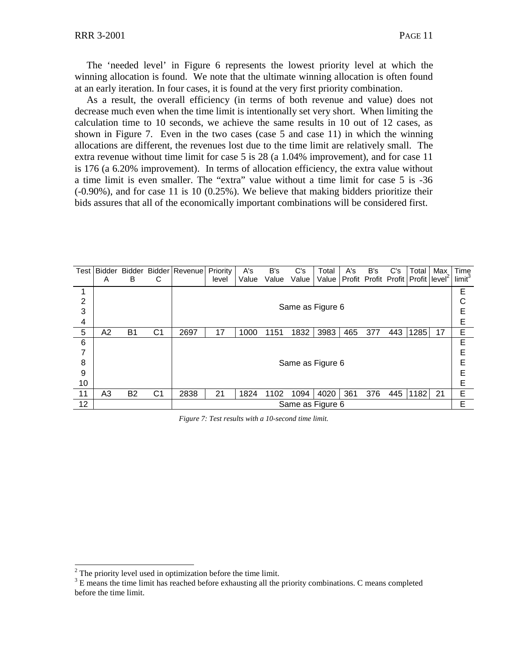The 'needed level' in Figure 6 represents the lowest priority level at which the winning allocation is found. We note that the ultimate winning allocation is often found at an early iteration. In four cases, it is found at the very first priority combination.

As a result, the overall efficiency (in terms of both revenue and value) does not decrease much even when the time limit is intentionally set very short. When limiting the calculation time to 10 seconds, we achieve the same results in 10 out of 12 cases, as shown in Figure 7. Even in the two cases (case 5 and case 11) in which the winning allocations are different, the revenues lost due to the time limit are relatively small. The extra revenue without time limit for case 5 is 28 (a 1.04% improvement), and for case 11 is 176 (a 6.20% improvement). In terms of allocation efficiency, the extra value without a time limit is even smaller. The "extra" value without a time limit for case 5 is -36 (-0.90%), and for case 11 is 10 (0.25%). We believe that making bidders prioritize their bids assures that all of the economically important combinations will be considered first.

| Test           | Bidder<br>A | в         | С  | Bidder Bidder Revenue | Priority<br>level | A's<br>Value | B's<br>Value | C's<br>Value     | Total<br>Value | A's | B's | C's<br>Profit Profit Profit Profit level <sup>2</sup> | Total    | Max | Time<br>limit <sup>3</sup> |
|----------------|-------------|-----------|----|-----------------------|-------------------|--------------|--------------|------------------|----------------|-----|-----|-------------------------------------------------------|----------|-----|----------------------------|
|                |             |           |    |                       |                   |              |              |                  |                |     |     |                                                       |          |     | Е                          |
| $\overline{2}$ |             |           |    |                       |                   |              |              |                  |                |     |     |                                                       |          |     |                            |
| 3              |             |           |    |                       |                   |              |              | Same as Figure 6 |                |     |     |                                                       |          |     | E                          |
| 4              |             |           |    |                       |                   |              |              |                  |                |     |     |                                                       |          |     | E                          |
| 5              | A2          | B1        | C1 | 2697                  | 17                | 1000         | 1151         | 1832             | 3983           | 465 | 377 | 443                                                   | 1285     | 17  | Е                          |
| 6              |             |           |    |                       | Е                 |              |              |                  |                |     |     |                                                       |          |     |                            |
| $\overline{7}$ |             |           |    |                       |                   |              |              |                  |                |     |     |                                                       |          |     | E                          |
| 8              |             |           |    |                       |                   |              |              | Same as Figure 6 |                |     |     |                                                       |          |     | E                          |
| 9              |             |           |    |                       |                   |              |              |                  |                |     |     |                                                       |          |     | E                          |
| 10             |             |           |    |                       |                   |              |              |                  |                |     |     |                                                       |          |     | Е                          |
| 11             | A3          | <b>B2</b> | C1 | 2838                  | 21                | 1824         | 1102         | 1094             | 4020           | 361 | 376 |                                                       | 445 1182 | 21  | E                          |
| 12             |             |           |    | E<br>Same as Figure 6 |                   |              |              |                  |                |     |     |                                                       |          |     |                            |

*Figure 7: Test results with a 10-second time limit.*

<sup>&</sup>lt;sup>2</sup> The priority level used in optimization before the time limit.

 $3 \text{ E}$  means the time limit has reached before exhausting all the priority combinations. C means completed before the time limit.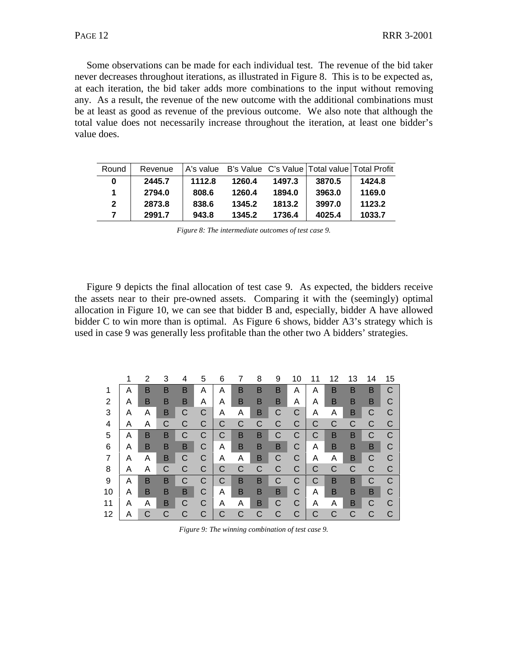Some observations can be made for each individual test. The revenue of the bid taker never decreases throughout iterations, as illustrated in Figure 8. This is to be expected as, at each iteration, the bid taker adds more combinations to the input without removing any. As a result, the revenue of the new outcome with the additional combinations must be at least as good as revenue of the previous outcome. We also note that although the total value does not necessarily increase throughout the iteration, at least one bidder's value does.

| Round        | Revenue | l A's value |        |        |        | B's Value C's Value Total value Total Profit |
|--------------|---------|-------------|--------|--------|--------|----------------------------------------------|
| 0            | 2445.7  | 1112.8      | 1260.4 | 1497.3 | 3870.5 | 1424.8                                       |
|              | 2794.0  | 808.6       | 1260.4 | 1894.0 | 3963.0 | 1169.0                                       |
| $\mathbf{2}$ | 2873.8  | 838.6       | 1345.2 | 1813.2 | 3997.0 | 1123.2                                       |
| 7            | 2991.7  | 943.8       | 1345.2 | 1736.4 | 4025.4 | 1033.7                                       |

*Figure 8: The intermediate outcomes of test case 9.*

Figure 9 depicts the final allocation of test case 9. As expected, the bidders receive the assets near to their pre-owned assets. Comparing it with the (seemingly) optimal allocation in Figure 10, we can see that bidder B and, especially, bidder A have allowed bidder C to win more than is optimal. As Figure 6 shows, bidder A3's strategy which is used in case 9 was generally less profitable than the other two A bidders' strategies.

|    |   |   | 3 | 4 | 5 | 6 |   | 8 | 9           | 10 |   | 12 | 13 | 14 | 15 |
|----|---|---|---|---|---|---|---|---|-------------|----|---|----|----|----|----|
|    | А | B | B | B | Α | A | B | B | в           | Α  | A | B  | B  | B  | C  |
| 2  | Α | В | B | B | Α | A | В | B | B           | Α  | Α | B  | B  | B  | C  |
| 3  | Α | A | B | С | С | A | Α | B | С           | C  | Α | A  | В  | C  | С  |
| 4  | Α | A | С | С | С | С | С | C | С           | C  | С | С  | C  | С  |    |
| 5  | Α | B | B | С | С | C | B | B | С           | С  | С | B  | B  | С  | C  |
| 6  | A | В | B | B | C | Α | B | B | B           | C  | Α | B  | B  | B  | C  |
| 7  | Α | Α | B | C | С | A | Α | B | $\mathsf C$ | С  | Α | Α  | В  | С  | С  |
| 8  | Α | A | С | С | С | С | С | C | С           | С  | С | С  | С  | С  |    |
| 9  | A | B | B | С | C | С | B | B | С           | C  | С | B  | B  | С  | C  |
| 10 | Α | В | B | в | C | Α | B | B | B           | C  | Α | B  | В  | B  | C  |
| 11 | Α | A | B | C | С | A | A | B | C           | С  | Α | A  | В  | C  |    |
| 12 | Α | C | C | C | C | C | C | C | C           | C  | C | C  | C  | C  |    |

*Figure 9: The winning combination of test case 9.*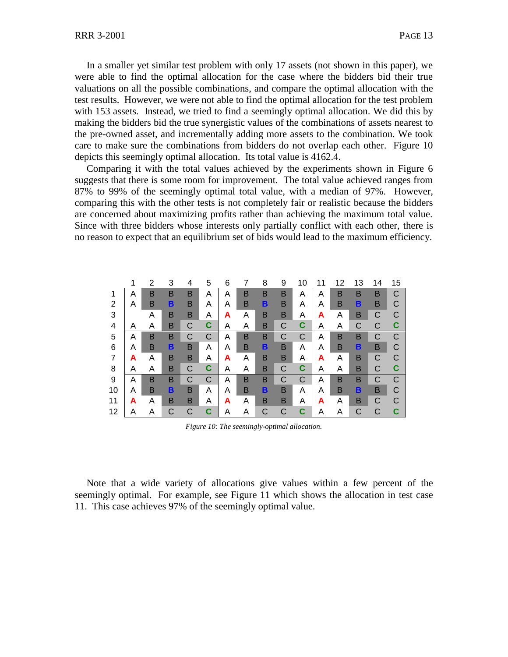In a smaller yet similar test problem with only 17 assets (not shown in this paper), we were able to find the optimal allocation for the case where the bidders bid their true valuations on all the possible combinations, and compare the optimal allocation with the test results. However, we were not able to find the optimal allocation for the test problem with 153 assets. Instead, we tried to find a seemingly optimal allocation. We did this by making the bidders bid the true synergistic values of the combinations of assets nearest to the pre-owned asset, and incrementally adding more assets to the combination. We took care to make sure the combinations from bidders do not overlap each other. Figure 10 depicts this seemingly optimal allocation. Its total value is 4162.4.

Comparing it with the total values achieved by the experiments shown in Figure 6 suggests that there is some room for improvement. The total value achieved ranges from 87% to 99% of the seemingly optimal total value, with a median of 97%. However, comparing this with the other tests is not completely fair or realistic because the bidders are concerned about maximizing profits rather than achieving the maximum total value. Since with three bidders whose interests only partially conflict with each other, there is no reason to expect that an equilibrium set of bids would lead to the maximum efficiency.

|    |   | 2 | 3 | 4 | 5 | 6 |   | 8 | 9 | 10 |   |   | 13 | 14 | 15 |
|----|---|---|---|---|---|---|---|---|---|----|---|---|----|----|----|
| 1  | Α | B | В | В | Α | A | B | В | B | A  | Α | В | B  | B  | С  |
| 2  | A | B | в | B | A | A | B | в | B | A  | Α | B | в  | B  |    |
| 3  |   | Α | B | B | Α | A | A | B | B | A  | A | Α | В  | С  |    |
| 4  | Α | Α | B | С | С | Α | Α | B | С | С  | Α | Α | С  | С  | С  |
| 5  | A | B | B | С | С | A | B | B | С | C  | Α | B | в  | С  | C  |
| 6  | Α | B | в | B | A | A | B | В | B | A  | Α | В | в  | B  | С  |
| 7  | А | A | B | B | A | A | A | B | B | A  | А | Α | B  | С  | С  |
| 8  | Α | A | B | С | С | A | A | B | С | С  | Α | Α | B  | С  |    |
| 9  | A | в | B | С | С | A | B | B | С | С  | Α | B | B  | С  | C  |
| 10 | A | B | в | B | A | A | B | в | B | A  | Α | В | в  | B  |    |
| 11 | Α | Α | B | B | A | A | Α | B | B | A  | A | Α | В  | С  |    |
| 12 | A | Α | С | С | С | A | Α | C | C | С  | Α | Α | С  | C  | C  |

*Figure 10: The seemingly-optimal allocation.*

Note that a wide variety of allocations give values within a few percent of the seemingly optimal. For example, see Figure 11 which shows the allocation in test case 11. This case achieves 97% of the seemingly optimal value.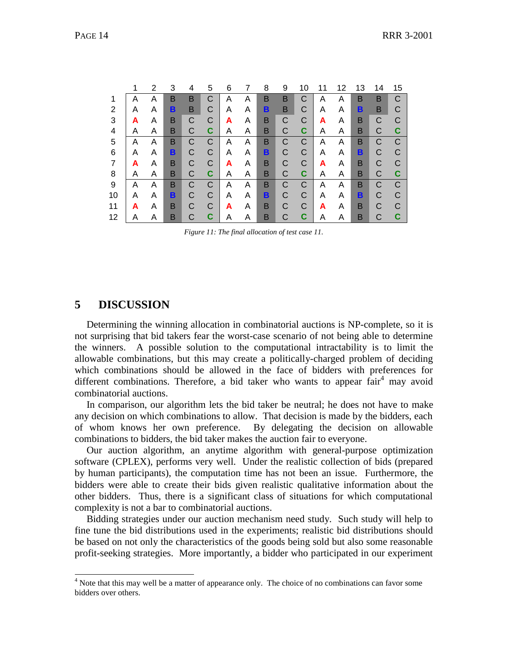|                |   | 2 | 3 | 4 | 5 | 6 |   | 8 | 9 |   |   |   | 13 |   | 15 |
|----------------|---|---|---|---|---|---|---|---|---|---|---|---|----|---|----|
| 1              | Α | A | B | B |   | Α | A | B | B | С | А | Α | B  | B | C  |
| $\overline{2}$ | Α | A | В | B | С | A | Α | В | B | С | Α | A | в  | B |    |
| 3              | Α | Α | B | С | С | A | Α | B | C | C | A | A | B  | C | С  |
| 4              | Α | Α | B | С | С | A | Α | B | С | С | Α | A | B  | С | С  |
| 5              | A | Α | B | С | C | A | A | B | С | C | Α | Α | B  | С | C  |
| 6              | Α | Α | в | С | С | A | Α | в | С | С | A | A | в  | С |    |
| 7              | Α | Α | B | С | C | А | Α | B | С | C | A | Α | B  | С |    |
| 8              | A | Α | B | С | С | Α | Α | B | С | С | A | A | B  | С | С  |
| 9              | Α | Α | B | С | С | A | A | B | C | С | Α | Α | B  | C | C  |
| 10             | Α | Α | в | С | С | A | A | в | С | С | Α | A | в  | С | С  |
| 11             | Α | Α | B | С | С | A | Α | B | С | C | A | A | B  | С | С  |
| 12             | Α | Α | B |   | С | Α | Α | B |   |   | Α | Α | в  |   |    |

*Figure 11: The final allocation of test case 11.*

### **5 DISCUSSION**

Determining the winning allocation in combinatorial auctions is NP-complete, so it is not surprising that bid takers fear the worst-case scenario of not being able to determine the winners. A possible solution to the computational intractability is to limit the allowable combinations, but this may create a politically-charged problem of deciding which combinations should be allowed in the face of bidders with preferences for different combinations. Therefore, a bid taker who wants to appear fair<sup>4</sup> may avoid combinatorial auctions.

In comparison, our algorithm lets the bid taker be neutral; he does not have to make any decision on which combinations to allow. That decision is made by the bidders, each of whom knows her own preference. By delegating the decision on allowable combinations to bidders, the bid taker makes the auction fair to everyone.

Our auction algorithm, an anytime algorithm with general-purpose optimization software (CPLEX), performs very well. Under the realistic collection of bids (prepared by human participants), the computation time has not been an issue. Furthermore, the bidders were able to create their bids given realistic qualitative information about the other bidders. Thus, there is a significant class of situations for which computational complexity is not a bar to combinatorial auctions.

Bidding strategies under our auction mechanism need study. Such study will help to fine tune the bid distributions used in the experiments; realistic bid distributions should be based on not only the characteristics of the goods being sold but also some reasonable profit-seeking strategies. More importantly, a bidder who participated in our experiment

<sup>&</sup>lt;sup>4</sup> Note that this may well be a matter of appearance only. The choice of no combinations can favor some bidders over others.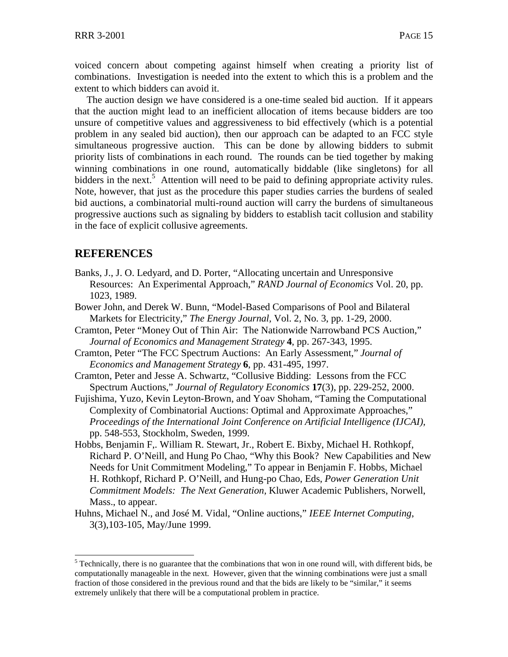voiced concern about competing against himself when creating a priority list of combinations. Investigation is needed into the extent to which this is a problem and the extent to which bidders can avoid it.

The auction design we have considered is a one-time sealed bid auction. If it appears that the auction might lead to an inefficient allocation of items because bidders are too unsure of competitive values and aggressiveness to bid effectively (which is a potential problem in any sealed bid auction), then our approach can be adapted to an FCC style simultaneous progressive auction. This can be done by allowing bidders to submit priority lists of combinations in each round. The rounds can be tied together by making winning combinations in one round, automatically biddable (like singletons) for all bidders in the next.<sup>5</sup> Attention will need to be paid to defining appropriate activity rules. Note, however, that just as the procedure this paper studies carries the burdens of sealed bid auctions, a combinatorial multi-round auction will carry the burdens of simultaneous progressive auctions such as signaling by bidders to establish tacit collusion and stability in the face of explicit collusive agreements.

## **REFERENCES**

 $\overline{a}$ 

- Banks, J., J. O. Ledyard, and D. Porter, "Allocating uncertain and Unresponsive Resources: An Experimental Approach," *RAND Journal of Economics* Vol. 20, pp. 1023, 1989.
- Bower John, and Derek W. Bunn, "Model-Based Comparisons of Pool and Bilateral Markets for Electricity," *The Energy Journal,* Vol. 2, No. 3, pp. 1-29, 2000.
- Cramton, Peter "Money Out of Thin Air: The Nationwide Narrowband PCS Auction," *Journal of Economics and Management Strategy* **4**, pp. 267-343, 1995.
- Cramton, Peter "The FCC Spectrum Auctions: An Early Assessment," *Journal of Economics and Management Strategy* **6**, pp. 431-495, 1997.
- Cramton, Peter and Jesse A. Schwartz, "Collusive Bidding: Lessons from the FCC Spectrum Auctions," *Journal of Regulatory Economics* **17**(3), pp. 229-252, 2000.
- Fujishima, Yuzo, Kevin Leyton-Brown, and Yoav Shoham, "Taming the Computational Complexity of Combinatorial Auctions: Optimal and Approximate Approaches," *Proceedings of the International Joint Conference on Artificial Intelligence (IJCAI),* pp. 548-553, Stockholm, Sweden, 1999.
- Hobbs, Benjamin F,. William R. Stewart, Jr., Robert E. Bixby, Michael H. Rothkopf, Richard P. O'Neill, and Hung Po Chao, "Why this Book? New Capabilities and New Needs for Unit Commitment Modeling," To appear in Benjamin F. Hobbs, Michael H. Rothkopf, Richard P. O'Neill, and Hung-po Chao, Eds, *Power Generation Unit Commitment Models: The Next Generation,* Kluwer Academic Publishers, Norwell, Mass., to appear.
- Huhns, Michael N., and José M. Vidal, "Online auctions," *IEEE Internet Computing*, 3(3),103-105, May/June 1999.

 $<sup>5</sup>$  Technically, there is no guarantee that the combinations that won in one round will, with different bids, be</sup> computationally manageable in the next. However, given that the winning combinations were just a small fraction of those considered in the previous round and that the bids are likely to be "similar," it seems extremely unlikely that there will be a computational problem in practice.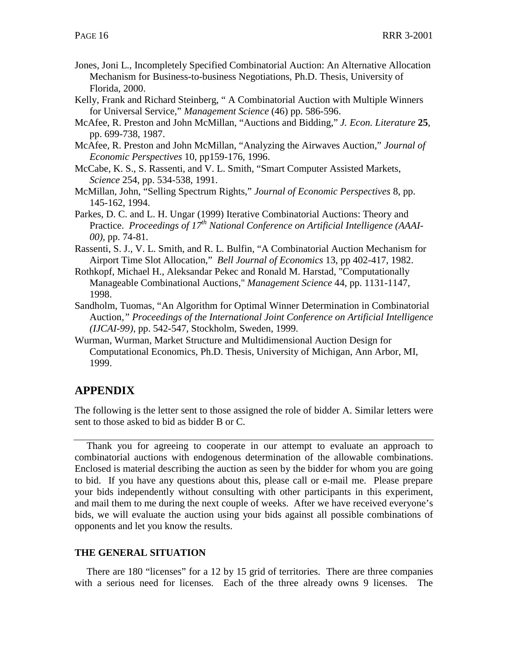- Jones, Joni L., Incompletely Specified Combinatorial Auction: An Alternative Allocation Mechanism for Business-to-business Negotiations, Ph.D. Thesis, University of Florida, 2000.
- Kelly, Frank and Richard Steinberg, " A Combinatorial Auction with Multiple Winners for Universal Service," *Management Science* (46) pp. 586-596.
- McAfee, R. Preston and John McMillan, "Auctions and Bidding," *J. Econ. Literature* **25**, pp. 699-738, 1987.
- McAfee, R. Preston and John McMillan, "Analyzing the Airwaves Auction," *Journal of Economic Perspectives* 10, pp159-176, 1996.
- McCabe, K. S., S. Rassenti, and V. L. Smith, "Smart Computer Assisted Markets, *Science* 254, pp. 534-538, 1991.
- McMillan, John, "Selling Spectrum Rights," *Journal of Economic Perspectives* 8, pp. 145-162, 1994.
- Parkes, D. C. and L. H. Ungar (1999) Iterative Combinatorial Auctions: Theory and Practice. *Proceedings of 17<sup>th</sup> National Conference on Artificial Intelligence (AAAI-00),* pp. 74-81*.*
- Rassenti, S. J., V. L. Smith, and R. L. Bulfin, "A Combinatorial Auction Mechanism for Airport Time Slot Allocation," *Bell Journal of Economics* 13, pp 402-417, 1982.
- Rothkopf, Michael H., Aleksandar Pekec and Ronald M. Harstad, "Computationally Manageable Combinational Auctions," *Management Science* 44, pp. 1131-1147, 1998.
- Sandholm, Tuomas, "An Algorithm for Optimal Winner Determination in Combinatorial Auction*," Proceedings of the International Joint Conference on Artificial Intelligence (IJCAI-99),* pp. 542-547, Stockholm, Sweden, 1999.
- Wurman, Wurman, Market Structure and Multidimensional Auction Design for Computational Economics, Ph.D. Thesis, University of Michigan, Ann Arbor, MI, 1999.

### **APPENDIX**

The following is the letter sent to those assigned the role of bidder A. Similar letters were sent to those asked to bid as bidder B or C.

Thank you for agreeing to cooperate in our attempt to evaluate an approach to combinatorial auctions with endogenous determination of the allowable combinations. Enclosed is material describing the auction as seen by the bidder for whom you are going to bid. If you have any questions about this, please call or e-mail me. Please prepare your bids independently without consulting with other participants in this experiment, and mail them to me during the next couple of weeks. After we have received everyone's bids, we will evaluate the auction using your bids against all possible combinations of opponents and let you know the results.

#### **THE GENERAL SITUATION**

There are 180 "licenses" for a 12 by 15 grid of territories. There are three companies with a serious need for licenses. Each of the three already owns 9 licenses. The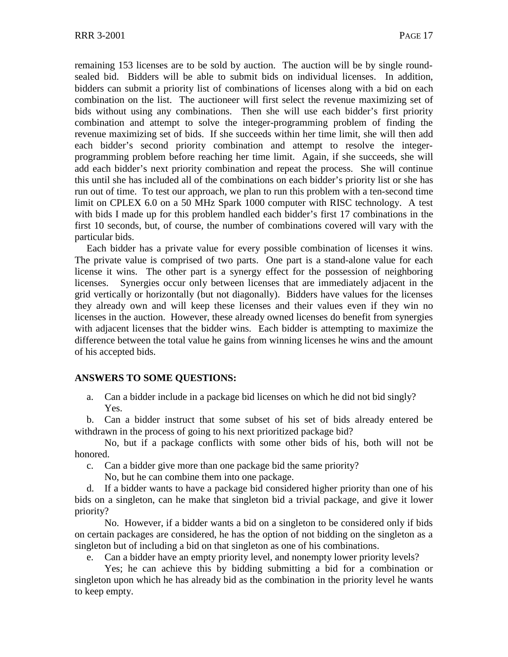remaining 153 licenses are to be sold by auction. The auction will be by single roundsealed bid. Bidders will be able to submit bids on individual licenses. In addition, bidders can submit a priority list of combinations of licenses along with a bid on each combination on the list. The auctioneer will first select the revenue maximizing set of bids without using any combinations. Then she will use each bidder's first priority combination and attempt to solve the integer-programming problem of finding the revenue maximizing set of bids. If she succeeds within her time limit, she will then add each bidder's second priority combination and attempt to resolve the integerprogramming problem before reaching her time limit. Again, if she succeeds, she will add each bidder's next priority combination and repeat the process. She will continue this until she has included all of the combinations on each bidder's priority list or she has run out of time. To test our approach, we plan to run this problem with a ten-second time limit on CPLEX 6.0 on a 50 MHz Spark 1000 computer with RISC technology. A test with bids I made up for this problem handled each bidder's first 17 combinations in the first 10 seconds, but, of course, the number of combinations covered will vary with the particular bids.

Each bidder has a private value for every possible combination of licenses it wins. The private value is comprised of two parts. One part is a stand-alone value for each license it wins. The other part is a synergy effect for the possession of neighboring licenses. Synergies occur only between licenses that are immediately adjacent in the grid vertically or horizontally (but not diagonally). Bidders have values for the licenses they already own and will keep these licenses and their values even if they win no licenses in the auction. However, these already owned licenses do benefit from synergies with adjacent licenses that the bidder wins. Each bidder is attempting to maximize the difference between the total value he gains from winning licenses he wins and the amount of his accepted bids.

#### **ANSWERS TO SOME QUESTIONS:**

a. Can a bidder include in a package bid licenses on which he did not bid singly? Yes.

b. Can a bidder instruct that some subset of his set of bids already entered be withdrawn in the process of going to his next prioritized package bid?

No, but if a package conflicts with some other bids of his, both will not be honored.

- c. Can a bidder give more than one package bid the same priority?
	- No, but he can combine them into one package.

d. If a bidder wants to have a package bid considered higher priority than one of his bids on a singleton, can he make that singleton bid a trivial package, and give it lower priority?

No. However, if a bidder wants a bid on a singleton to be considered only if bids on certain packages are considered, he has the option of not bidding on the singleton as a singleton but of including a bid on that singleton as one of his combinations.

e. Can a bidder have an empty priority level, and nonempty lower priority levels?

Yes; he can achieve this by bidding submitting a bid for a combination or singleton upon which he has already bid as the combination in the priority level he wants to keep empty.